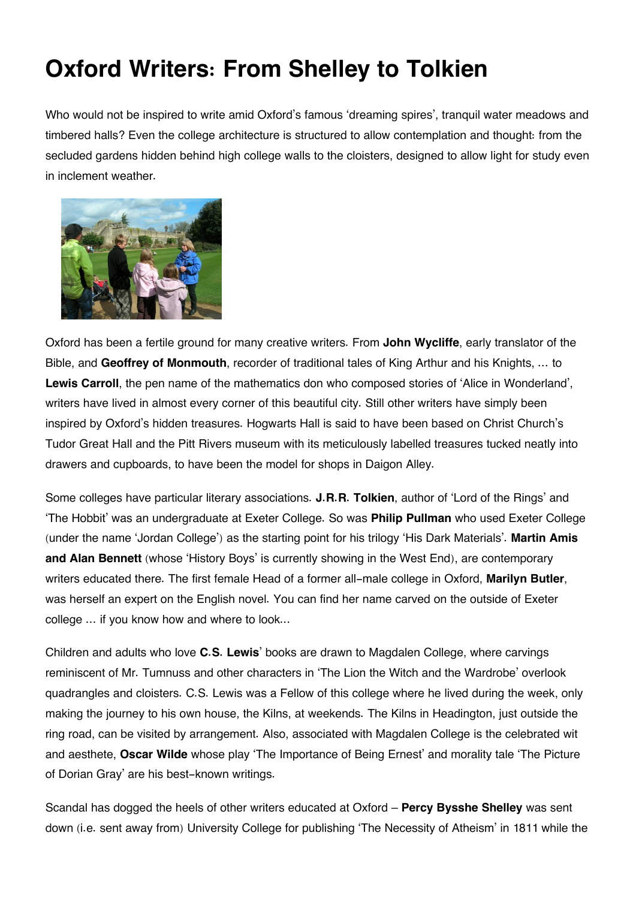## **Oxford Writers: From Shelley to Tolkien**

Who would not be inspired to write amid Oxford's famous 'dreaming spires', tranquil water meadows and timbered halls? Even the college architecture is structured to allow contemplation and thought: from the secluded gardens hidden behind high college walls to the cloisters, designed to allow light for study even in inclement weather.



Oxford has been a fertile ground for many creative writers. From **John Wycliffe**, early translator of the Bible, and **Geoffrey of Monmouth**, recorder of traditional tales of King Arthur and his Knights, … to **Lewis Carroll**, the pen name of the mathematics don who composed stories of 'Alice in Wonderland', writers have lived in almost every corner of this beautiful city. Still other writers have simply been inspired by Oxford's hidden treasures. Hogwarts Hall is said to have been based on Christ Church's Tudor Great Hall and the Pitt Rivers museum with its meticulously labelled treasures tucked neatly into drawers and cupboards, to have been the model for shops in Daigon Alley.

Some colleges have particular literary associations. **J.R.R. Tolkien**, author of 'Lord of the Rings' and 'The Hobbit' was an undergraduate at Exeter College. So was **Philip Pullman** who used Exeter College (under the name 'Jordan College') as the starting point for his trilogy 'His Dark Materials'. **Martin Amis and Alan Bennett** (whose 'History Boys' is currently showing in the West End), are contemporary writers educated there. The first female Head of a former all-male college in Oxford, **Marilyn Butler**, was herself an expert on the English novel. You can find her name carved on the outside of Exeter college … if you know how and where to look...

Children and adults who love **C.S. Lewis**' books are drawn to Magdalen College, where carvings reminiscent of Mr. Tumnuss and other characters in 'The Lion the Witch and the Wardrobe' overlook quadrangles and cloisters. C.S. Lewis was a Fellow of this college where he lived during the week, only making the journey to his own house, the Kilns, at weekends. The Kilns in Headington, just outside the ring road, can be visited by arrangement. Also, associated with Magdalen College is the celebrated wit and aesthete, **Oscar Wilde** whose play 'The Importance of Being Ernest' and morality tale 'The Picture of Dorian Gray' are his best-known writings.

Scandal has dogged the heels of other writers educated at Oxford – **Percy Bysshe Shelley** was sent down (i.e. sent away from) University College for publishing 'The Necessity of Atheism' in 1811 while the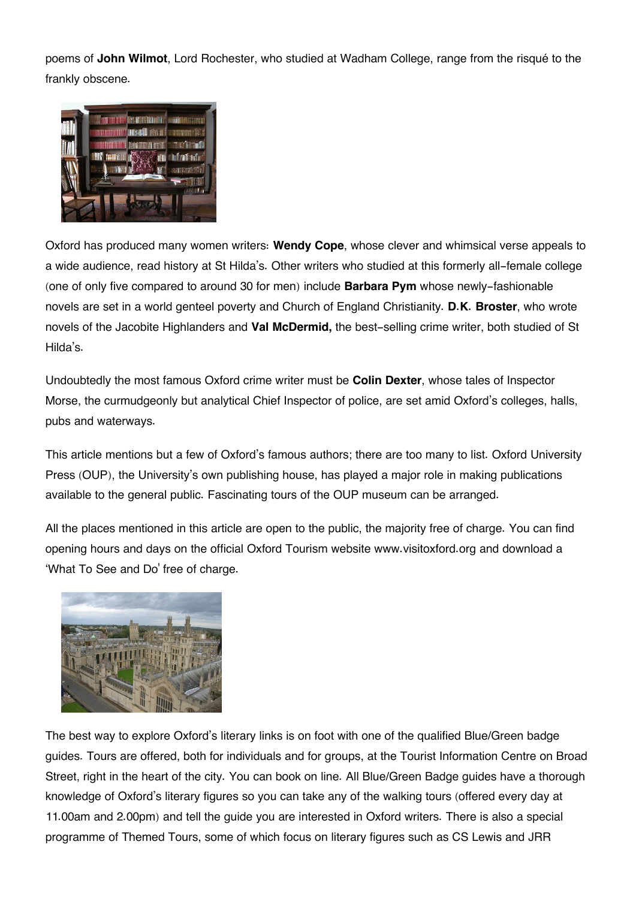poems of **John Wilmot**, Lord Rochester, who studied at Wadham College, range from the risqué to the frankly obscene.



Oxford has produced many women writers: **Wendy Cope**, whose clever and whimsical verse appeals to a wide audience, read history at St Hilda's. Other writers who studied at this formerly all-female college (one of only five compared to around 30 for men) include **Barbara Pym** whose newly-fashionable novels are set in a world genteel poverty and Church of England Christianity. **D.K. Broster**, who wrote novels of the Jacobite Highlanders and **Val McDermid,** the best-selling crime writer, both studied of St Hilda's.

Undoubtedly the most famous Oxford crime writer must be **Colin Dexter**, whose tales of Inspector Morse, the curmudgeonly but analytical Chief Inspector of police, are set amid Oxford's colleges, halls, pubs and waterways.

This article mentions but a few of Oxford's famous authors; there are too many to list. Oxford University Press (OUP), the University's own publishing house, has played a major role in making publications available to the general public. Fascinating tours of the OUP museum can be arranged.

All the places mentioned in this article are open to the public, the majority free of charge. You can find opening hours and days on the official Oxford Tourism website www.visitoxford.org and download a 'What To See and Do' free of charge.



The best way to explore Oxford's literary links is on foot with one of the qualified Blue/Green badge guides. Tours are offered, both for individuals and for groups, at the Tourist Information Centre on Broad Street, right in the heart of the city. You can book on line. All Blue/Green Badge guides have a thorough knowledge of Oxford's literary figures so you can take any of the walking tours (offered every day at 11.00am and 2.00pm) and tell the guide you are interested in Oxford writers. There is also a special programme of Themed Tours, some of which focus on literary figures such as CS Lewis and JRR